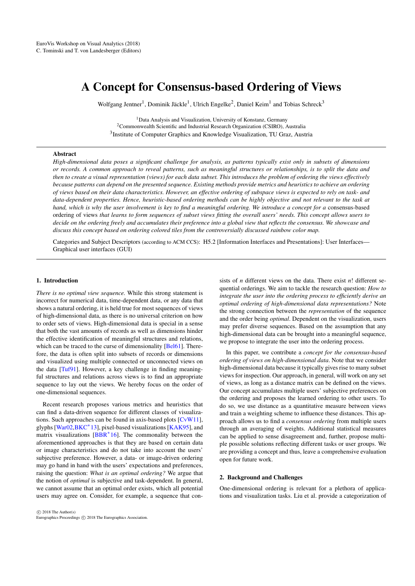# <span id="page-0-0"></span>A Concept for Consensus-based Ordering of Views

Wolfgang Jentner<sup>1</sup>, Dominik Jäckle<sup>1</sup>, Ulrich Engelke<sup>2</sup>, Daniel Keim<sup>1</sup> and Tobias Schreck<sup>3</sup>

<sup>1</sup> Data Analysis and Visualization, University of Konstanz, Germany <sup>2</sup>Commonwealth Scientific and Industrial Research Organization (CSIRO), Australia <sup>3</sup> Institute of Computer Graphics and Knowledge Visualization, TU Graz, Austria

### Abstract

*High-dimensional data poses a significant challenge for analysis, as patterns typically exist only in subsets of dimensions or records. A common approach to reveal patterns, such as meaningful structures or relationships, is to split the data and then to create a visual representation (views) for each data subset. This introduces the problem of ordering the views effectively because patterns can depend on the presented sequence. Existing methods provide metrics and heuristics to achieve an ordering of views based on their data characteristics. However, an effective ordering of subspace views is expected to rely on task- and data-dependent properties. Hence, heuristic-based ordering methods can be highly objective and not relevant to the task at hand, which is why the user involvement is key to find a meaningful ordering. We introduce a concept for a* consensus-based ordering of views *that learns to form sequences of subset views fitting the overall users' needs. This concept allows users to decide on the ordering freely and accumulates their preference into a global view that reflects the consensus. We showcase and discuss this concept based on ordering colored tiles from the controversially discussed rainbow color map.*

Categories and Subject Descriptors (according to ACM CCS): H5.2 [Information Interfaces and Presentations]: User Interfaces— Graphical user interfaces (GUI)

#### 1. Introduction

*There is no optimal view sequence.* While this strong statement is incorrect for numerical data, time-dependent data, or any data that shows a natural ordering, it is held true for most sequences of views of high-dimensional data, as there is no universal criterion on how to order sets of views. High-dimensional data is special in a sense that both the vast amounts of records as well as dimensions hinder the effective identification of meaningful structures and relations, which can be traced to the curse of dimensionality [\[Bel61\]](#page-4-0). Therefore, the data is often split into subsets of records or dimensions and visualized using multiple connected or unconnected views on the data [\[Tuf91\]](#page-4-1). However, a key challenge in finding meaningful structures and relations across views is to find an appropriate sequence to lay out the views. We hereby focus on the order of one-dimensional sequences.

Recent research proposes various metrics and heuristics that can find a data-driven sequence for different classes of visualizations. Such approaches can be found in axis-based plots [\[CvW11\]](#page-4-2), glyphs [\[War02](#page-4-3)[,BKC](#page-4-4)<sup>\*</sup>13], pixel-based visualizations [\[KAK95\]](#page-4-5), and matrix visualizations [\[BBR](#page-4-6)<sup>\*</sup>16]. The commonality between the aforementioned approaches is that they are based on certain data or image characteristics and do not take into account the users' subjective preference. However, a data- or image-driven ordering may go hand in hand with the users' expectations and preferences, raising the question: *What is an optimal ordering?* We argue that the notion of *optimal* is subjective and task-dependent. In general, we cannot assume that an optimal order exists, which all potential users may agree on. Consider, for example, a sequence that con-

sists of *n* different views on the data. There exist *n*! different sequential orderings. We aim to tackle the research question: *How to integrate the user into the ordering process to efficiently derive an optimal ordering of high-dimensional data representations?* Note the strong connection between the *representation* of the sequence and the order being *optimal*. Dependent on the visualization, users may prefer diverse sequences. Based on the assumption that any high-dimensional data can be brought into a meaningful sequence, we propose to integrate the user into the ordering process.

In this paper, we contribute a *concept for the consensus-based ordering of views on high-dimensional data*. Note that we consider high-dimensional data because it typically gives rise to many subset views for inspection. Our approach, in general, will work on any set of views, as long as a distance matrix can be defined on the views. Our concept accumulates multiple users' subjective preferences on the ordering and proposes the learned ordering to other users. To do so, we use distance as a quantitative measure between views and train a weighting scheme to influence these distances. This approach allows us to find a *consensus ordering* from multiple users through an averaging of weights. Additional statistical measures can be applied to sense disagreement and, further, propose multiple possible solutions reflecting different tasks or user groups. We are providing a concept and thus, leave a comprehensive evaluation open for future work.

#### 2. Background and Challenges

One-dimensional ordering is relevant for a plethora of applications and visualization tasks. Liu et al. provide a categorization of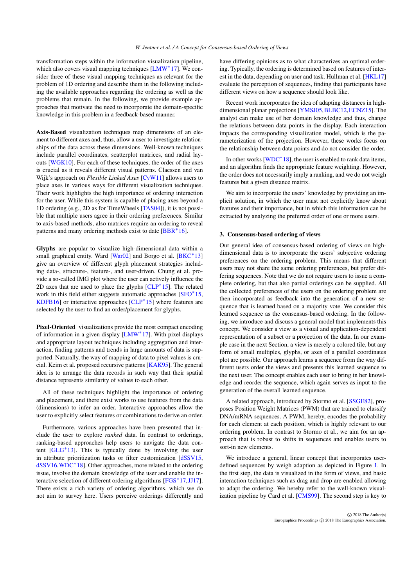<span id="page-1-0"></span>transformation steps within the information visualization pipeline, which also covers visual mapping techniques [\[LMW](#page-4-7)<sup>∗</sup>17]. We consider three of these visual mapping techniques as relevant for the problem of 1D ordering and describe them in the following including the available approaches regarding the ordering as well as the problems that remain. In the following, we provide example approaches that motivate the need to incorporate the domain-specific knowledge in this problem in a feedback-based manner.

Axis-Based visualization techniques map dimensions of an element to different axes and, thus, allow a user to investigate relationships of the data across these dimensions. Well-known techniques include parallel coordinates, scatterplot matrices, and radial layouts [\[WGK10\]](#page-4-8). For each of these techniques, the order of the axes is crucial as it reveals different visual patterns. Claessen and van Wijk's approach on *Flexible Linked Axes* [\[CvW11\]](#page-4-2) allows users to place axes in various ways for different visualization techniques. Their work highlights the high importance of ordering interaction for the user. While this system is capable of placing axes beyond a 1D ordering (e.g., 2D as for TimeWheels [\[TAS04\]](#page-4-9)), it is not possible that multiple users agree in their ordering preferences. Similar to axis-based methods, also matrices require an ordering to reveal patterns and many ordering methods exist to date [\[BBR](#page-4-6)<sup>∗</sup>16].

Glyphs are popular to visualize high-dimensional data within a small graphical entity. Ward [\[War02\]](#page-4-3) and Borgo et al. [\[BKC](#page-4-4)<sup>\*</sup>13] give an overview of different glyph placement strategies including data-, structure-, feature-, and user-driven. Chung et al. provide a so-called IMG plot where the user can actively influence the 2D axes that are used to place the glyphs  $[CLP^*15]$  $[CLP^*15]$ . The related work in this field either suggests automatic approaches [\[SFO](#page-4-11)<sup>\*</sup>15, [KDFB16\]](#page-4-12) or interactive approaches [\[CLP](#page-4-10)<sup>∗</sup> 15] where features are selected by the user to find an order/placement for glyphs.

Pixel-Oriented visualizations provide the most compact encoding of information in a given display [\[LMW](#page-4-7)<sup>\*</sup>17]. With pixel displays and appropriate layout techniques including aggregation and interaction, finding patterns and trends in large amounts of data is supported. Naturally, the way of mapping of data to pixel values is crucial. Keim et al. proposed recursive patterns [\[KAK95\]](#page-4-5). The general idea is to arrange the data records in such way that their spatial distance represents similarity of values to each other.

All of these techniques highlight the importance of ordering and placement, and there exist works to use features from the data (dimensions) to infer an order. Interactive approaches allow the user to explicitly select features or combinations to derive an order.

Furthermore, various approaches have been presented that include the user to explore *ranked* data. In contrast to orderings, ranking-based approaches help users to navigate the data content  $[GLG^*13]$  $[GLG^*13]$ . This is typically done by involving the user in attribute prioritization tasks or filter customization [\[dSSV15,](#page-4-14) [dSSV16,](#page-4-15)[WDC](#page-4-16)<sup>∗</sup> 18]. Other approaches, more related to the ordering issue, involve the domain knowledge of the user and enable the in-teractive selection of different ordering algorithms [\[FGS](#page-4-17)<sup>\*</sup>17[,JJ17\]](#page-4-18). There exists a rich variety of ordering algorithms, which we do not aim to survey here. Users perceive orderings differently and have differing opinions as to what characterizes an optimal ordering. Typically, the ordering is determined based on features of interest in the data, depending on user and task. Hullman et al. [\[HKL17\]](#page-4-19) evaluate the perception of sequences, finding that participants have different views on how a sequence should look like.

Recent work incorporates the idea of adapting distances in highdimensional planar projections [\[YMSJ05,](#page-4-20)[BLBC12,](#page-4-21)[ECNZ15\]](#page-4-22). The analyst can make use of her domain knowledge and thus, change the relations between data points in the display. Each interaction impacts the corresponding visualization model, which is the parameterization of the projection. However, these works focus on the relationship between data points and do not consider the order.

In other works  $[WDC^*18]$  $[WDC^*18]$ , the user is enabled to rank data items, and an algorithm finds the appropriate feature weighting. However, the order does not necessarily imply a ranking, and we do not weigh features but a given distance matrix.

We aim to incorporate the users' knowledge by providing an implicit solution, in which the user must not explicitly know about features and their importance, but in which this information can be extracted by analyzing the preferred order of one or more users.

# 3. Consensus-based ordering of views

Our general idea of consensus-based ordering of views on highdimensional data is to incorporate the users' subjective ordering preferences on the ordering problem. This means that different users may not share the same ordering preferences, but prefer differing sequences. Note that we do not require users to issue a complete ordering, but that also partial orderings can be supplied. All the collected preferences of the users on the ordering problem are then incorporated as feedback into the generation of a new sequence that is learned based on a majority vote. We consider this learned sequence as the consensus-based ordering. In the following, we introduce and discuss a general model that implements this concept. We consider a view as a visual and application-dependent representation of a subset or a projection of the data. In our example case in the next Section, a view is merely a colored tile, but any form of small multiples, glyphs, or axes of a parallel coordinates plot are possible. Our approach learns a sequence from the way different users order the views and presents this learned sequence to the next user. The concept enables each user to bring in her knowledge and reorder the sequence, which again serves as input to the generation of the overall learned sequence.

A related approach, introduced by Stormo et al. [\[SSGE82\]](#page-4-23), proposes Position Weight Matrices (PWM) that are trained to classify DNA/mRNA sequences. A PWM, hereby, encodes the probability for each element at each position, which is highly relevant to our ordering problem. In contrast to Stormo et al., we aim for an approach that is robust to shifts in sequences and enables users to sort-in new elements.

We introduce a general, linear concept that incorporates userdefined sequences by weigh adaption as depicted in Figure [1.](#page-2-0) In the first step, the data is visualized in the form of views, and basic interaction techniques such as drag and drop are enabled allowing to adapt the ordering. We hereby refer to the well-known visualization pipeline by Card et al. [\[CMS99\]](#page-4-24). The second step is key to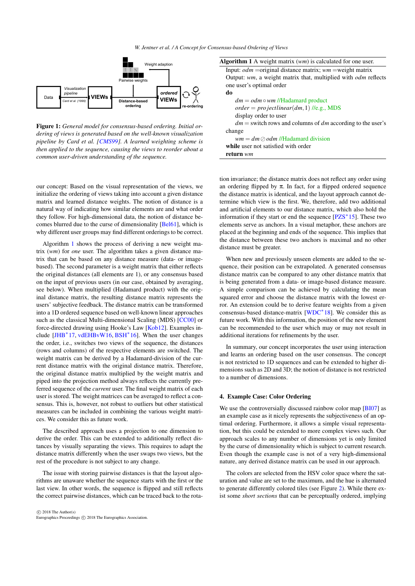<span id="page-2-2"></span>

Figure 1: *General model for consensus-based ordering. Initial ordering of views is generated based on the well-known visualization pipeline by Card et al. [\[CMS99\]](#page-4-24). A learned weighting scheme is then applied to the sequence, causing the views to reorder about a common user-driven understanding of the sequence.*

our concept: Based on the visual representation of the views, we initialize the ordering of views taking into account a given distance matrix and learned distance weights. The notion of distance is a natural way of indicating how similar elements are and what order they follow. For high-dimensional data, the notion of distance becomes blurred due to the curse of dimensionality [\[Bel61\]](#page-4-0), which is why different user groups may find different orderings to be correct.

Algorithm [1](#page-2-1) shows the process of deriving a new weight matrix (*wm*) for *one* user. The algorithm takes a given distance matrix that can be based on any distance measure (data- or imagebased). The second parameter is a weight matrix that either reflects the original distances (all elements are 1), or any consensus based on the input of previous users (in our case, obtained by averaging, see below). When multiplied (Hadamard product) with the original distance matrix, the resulting distance matrix represents the users' subjective feedback. The distance matrix can be transformed into a 1D ordered sequence based on well-known linear approaches such as the classical Multi-dimensional Scaling (MDS) [\[CC00\]](#page-4-25) or force-directed drawing using Hooke's Law [\[Kob12\]](#page-4-26). Examples include [\[JHB](#page-4-27)<sup>∗</sup> 17, [vdEHBvW16,](#page-4-28) [BSH](#page-4-29)<sup>∗</sup> 16]. When the user changes the order, i.e., switches two views of the sequence, the distances (rows and columns) of the respective elements are switched. The weight matrix can be derived by a Hadamard-division of the current distance matrix with the original distance matrix. Therefore, the original distance matrix multiplied by the weight matrix and piped into the projection method always reflects the currently preferred sequence of the *current* user. The final weight matrix of each user is stored. The weight matrices can be averaged to reflect a consensus. This is, however, not robust to outliers but other statistical measures can be included in combining the various weight matrices. We consider this as future work.

The described approach uses a projection to one dimension to derive the order. This can be extended to additionally reflect distances by visually separating the views. This requires to adapt the distance matrix differently when the user swaps two views, but the rest of the procedure is not subject to any change.

The issue with storing pairwise distances is that the layout algorithms are unaware whether the sequence starts with the first or the last view. In other words, the sequence is flipped and still reflects the correct pairwise distances, which can be traced back to the rota-

 c 2018 The Author(s) Eurographics Proceedings (C) 2018 The Eurographics Association.

<span id="page-2-0"></span>

| Weight adaption                                                                                                                                             | <b>Algorithm 1</b> A weight matrix $(wm)$ is calculated for one user. |
|-------------------------------------------------------------------------------------------------------------------------------------------------------------|-----------------------------------------------------------------------|
| rwise weights                                                                                                                                               | Input: $odm = original distance matrix$ ; wm = weight matrix          |
|                                                                                                                                                             | Output: $wm$ , a weight matrix that, multiplied with $odm$ reflects   |
|                                                                                                                                                             | one user's optimal order                                              |
| ordered                                                                                                                                                     | do                                                                    |
| <b>VIEWs</b><br>tance-based<br>ordering<br>re-ordering                                                                                                      | $dm = odm \circ wm$ //Hadamard product                                |
|                                                                                                                                                             | $order = projectilectlinear(dm, 1)$ //e.g., MDS                       |
|                                                                                                                                                             | display order to user                                                 |
|                                                                                                                                                             | $dm$ = switch rows and columns of dm according to the user's          |
| nsus-based ordering. Initial or-<br>on the well-known visualization<br>A learned weighting scheme is<br>ng the views to reorder about a<br>of the sequence. | change                                                                |
|                                                                                                                                                             | $wm = dm \oslash odm$ //Hadamard division                             |
|                                                                                                                                                             | while user not satisfied with order                                   |
|                                                                                                                                                             | return wm                                                             |
|                                                                                                                                                             |                                                                       |

<span id="page-2-1"></span>tion invariance; the distance matrix does not reflect any order using an ordering flipped by  $\pi$ . In fact, for a flipped ordered sequence the distance matrix is identical, and the layout approach cannot determine which view is the first. We, therefore, add two additional and artificial elements to our distance matrix, which also hold the information if they start or end the sequence [\[PZS](#page-4-30)<sup>∗</sup> 15]. These two elements serve as anchors. In a visual metaphor, these anchors are placed at the beginning and ends of the sequence. This implies that the distance between these two anchors is maximal and no other distance must be greater.

When new and previously unseen elements are added to the sequence, their position can be extrapolated. A generated consensus distance matrix can be compared to any other distance matrix that is being generated from a data- or image-based distance measure. A simple comparison can be achieved by calculating the mean squared error and choose the distance matrix with the lowest error. An extension could be to derive feature weights from a given consensus-based distance-matrix [\[WDC](#page-4-16)<sup>∗</sup> 18]. We consider this as future work. With this information, the position of the new element can be recommended to the user which may or may not result in additional iterations for refinements by the user.

In summary, our concept incorporates the user using interaction and learns an ordering based on the user consensus. The concept is not restricted to 1D sequences and can be extended to higher dimensions such as 2D and 3D; the notion of distance is not restricted to a number of dimensions.

### 4. Example Case: Color Ordering

We use the controversially discussed rainbow color map [\[BI07\]](#page-4-31) as an example case as it nicely represents the subjectiveness of an optimal ordering. Furthermore, it allows a simple visual representation, but this could be extended to more complex views such. Our approach scales to any number of dimensions yet is only limited by the curse of dimensionality which is subject to current research. Even though the example case is not of a very high-dimensional nature, any derived distance matrix can be used in our approach.

The colors are selected from the HSV color space where the saturation and value are set to the maximum, and the hue is alternated to generate differently colored tiles (see Figure [2\)](#page-3-0). While there exist some *short sections* that can be perceptually ordered, implying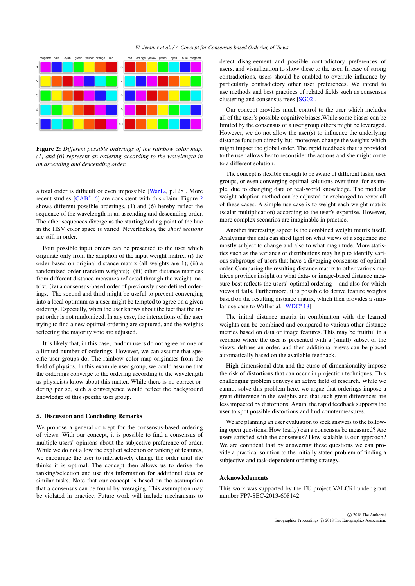#### *W. Jentner et al. / A Concept for Consensus-based Ordering of Views*

<span id="page-3-1"></span>

<span id="page-3-0"></span>Figure 2: *Different possible orderings of the rainbow color map. (1) and (6) represent an ordering according to the wavelength in an ascending and descending order.*

a total order is difficult or even impossible [\[War12,](#page-4-32) p.128]. More recent studies [\[CAB](#page-4-33)<sup>∗</sup> 16] are consistent with this claim. Figure [2](#page-3-0) shows different possible orderings. (1) and (6) hereby reflect the sequence of the wavelength in an ascending and descending order. The other sequences diverge as the starting/ending point of the hue in the HSV color space is varied. Nevertheless, the *short sections* are still in order.

Four possible input orders can be presented to the user which originate only from the adaption of the input weight matrix. (i) the order based on original distance matrix (all weights are 1); (ii) a randomized order (random weights); (iii) other distance matrices from different distance measures reflected through the weight matrix; (iv) a consensus-based order of previously user-defined orderings. The second and third might be useful to prevent converging into a local optimum as a user might be tempted to agree on a given ordering. Especially, when the user knows about the fact that the input order is not randomized. In any case, the interactions of the user trying to find a new optimal ordering are captured, and the weights reflecting the majority vote are adjusted.

It is likely that, in this case, random users do not agree on one or a limited number of orderings. However, we can assume that specific user groups do. The rainbow color map originates from the field of physics. In this example user group, we could assume that the orderings converge to the ordering according to the wavelength as physicists know about this matter. While there is no correct ordering per se, such a convergence would reflect the background knowledge of this specific user group.

## 5. Discussion and Concluding Remarks

We propose a general concept for the consensus-based ordering of views. With our concept, it is possible to find a consensus of multiple users' opinions about the subjective preference of order. While we do not allow the explicit selection or ranking of features, we encourage the user to interactively change the order until she thinks it is optimal. The concept then allows us to derive the ranking/selection and use this information for additional data or similar tasks. Note that our concept is based on the assumption that a consensus can be found by averaging. This assumption may be violated in practice. Future work will include mechanisms to

detect disagreement and possible contradictory preferences of users, and visualization to show these to the user. In case of strong contradictions, users should be enabled to overrule influence by particularly contradictory other user preferences. We intend to use methods and best practices of related fields such as consensus clustering and consensus trees [\[SG02\]](#page-4-34).

Our concept provides much control to the user which includes all of the user's possible cognitive biases.While some biases can be limited by the consensus of a user group others might be leveraged. However, we do not allow the user(s) to influence the underlying distance function directly but, moreover, change the weights which might impact the global order. The rapid feedback that is provided to the user allows her to reconsider the actions and she might come to a different solution.

The concept is flexible enough to be aware of different tasks, user groups, or even converging optimal solutions over time, for example, due to changing data or real-world knowledge. The modular weight adaption method can be adjusted or exchanged to cover all of these cases. A simple use case is to weight each weight matrix (scalar multiplication) according to the user's expertise. However, more complex scenarios are imaginable in practice.

Another interesting aspect is the combined weight matrix itself. Analyzing this data can shed light on what views of a sequence are mostly subject to change and also to what magnitude. More statistics such as the variance or distributions may help to identify various subgroups of users that have a diverging consensus of optimal order. Comparing the resulting distance matrix to other various matrices provides insight on what data- or image-based distance measure best reflects the users' optimal ordering – and also for which views it fails. Furthermore, it is possible to derive feature weights based on the resulting distance matrix, which then provides a simi-lar use case to Wall et al. [\[WDC](#page-4-16)<sup>\*</sup>18]

The initial distance matrix in combination with the learned weights can be combined and compared to various other distance metrics based on data or image features. This may be fruitful in a scenario where the user is presented with a (small) subset of the views, defines an order, and then additional views can be placed automatically based on the available feedback.

High-dimensional data and the curse of dimensionality impose the risk of distortions that can occur in projection techniques. This challenging problem conveys an active field of research. While we cannot solve this problem here, we argue that orderings impose a great difference in the weights and that such great differences are less impacted by distortions. Again, the rapid feedback supports the user to spot possible distortions and find countermeasures.

We are planning an user evaluation to seek answers to the following open questions: How (early) can a consensus be measured? Are users satisfied with the consensus? How scalable is our approach? We are confident that by answering these questions we can provide a practical solution to the initially stated problem of finding a subjective and task-dependent ordering strategy.

#### Acknowledgments

This work was supported by the EU project VALCRI under grant number FP7-SEC-2013-608142.